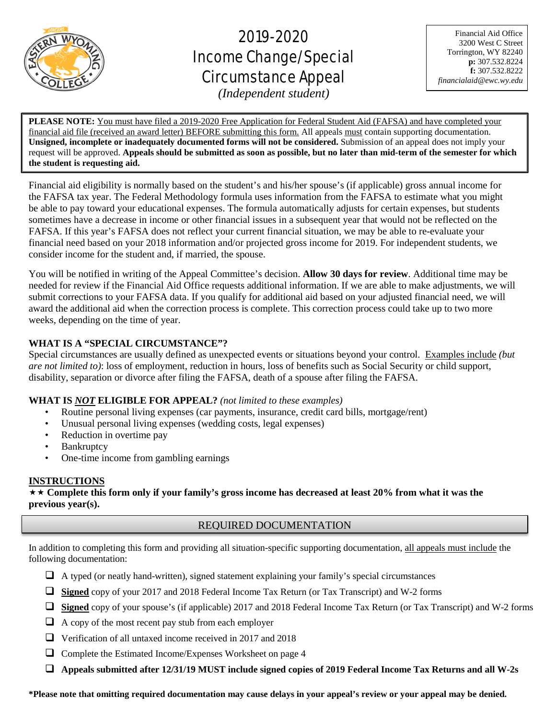

֦

# 2019-2020 Income Change/Special Circumstance Appeal

Financial Aid Office 3200 West C Street Torrington, WY 82240 **p:** 307.532.8224 **f:** 307.532.8222 *financialaid@ewc.wy.edu*

*(Independent student)*

**PLEASE NOTE:** You must have filed a 2019-2020 Free Application for Federal Student Aid (FAFSA) and have completed your financial aid file (received an award letter) BEFORE submitting this form. All appeals must contain supporting documentation. **Unsigned, incomplete or inadequately documented forms will not be considered.** Submission of an appeal does not imply your request will be approved. **Appeals should be submitted as soon as possible, but no later than mid-term of the semester for which the student is requesting aid.**

Financial aid eligibility is normally based on the student's and his/her spouse's (if applicable) gross annual income for the FAFSA tax year. The Federal Methodology formula uses information from the FAFSA to estimate what you might be able to pay toward your educational expenses. The formula automatically adjusts for certain expenses, but students sometimes have a decrease in income or other financial issues in a subsequent year that would not be reflected on the FAFSA. If this year's FAFSA does not reflect your current financial situation, we may be able to re-evaluate your financial need based on your 2018 information and/or projected gross income for 2019. For independent students, we consider income for the student and, if married, the spouse.

You will be notified in writing of the Appeal Committee's decision. **Allow 30 days for review**. Additional time may be needed for review if the Financial Aid Office requests additional information. If we are able to make adjustments, we will submit corrections to your FAFSA data. If you qualify for additional aid based on your adjusted financial need, we will award the additional aid when the correction process is complete. This correction process could take up to two more weeks, depending on the time of year.

# **WHAT IS A "SPECIAL CIRCUMSTANCE"?**

Special circumstances are usually defined as unexpected events or situations beyond your control. Examples include *(but are not limited to)*: loss of employment, reduction in hours, loss of benefits such as Social Security or child support, disability, separation or divorce after filing the FAFSA, death of a spouse after filing the FAFSA.

## **WHAT IS** *NOT* **ELIGIBLE FOR APPEAL?** *(not limited to these examples)*

- Routine personal living expenses (car payments, insurance, credit card bills, mortgage/rent)
- Unusual personal living expenses (wedding costs, legal expenses)
- Reduction in overtime pay
- **Bankruptcy**
- One-time income from gambling earnings

## **INSTRUCTIONS**

 **Complete this form only if your family's gross income has decreased at least 20% from what it was the previous year(s).**

# REQUIRED DOCUMENTATION

In addition to completing this form and providing all situation-specific supporting documentation, all appeals must include the following documentation:

- $\Box$  A typed (or neatly hand-written), signed statement explaining your family's special circumstances
- **Signed** copy of your 2017 and 2018 Federal Income Tax Return (or Tax Transcript) and W-2 forms
- **Signed** copy of your spouse's (if applicable) 2017 and 2018 Federal Income Tax Return (or Tax Transcript) and W-2 forms
- $\Box$  A copy of the most recent pay stub from each employer
- Verification of all untaxed income received in 2017 and 2018
- $\Box$  Complete the Estimated Income/Expenses Worksheet on page 4
- **Appeals submitted after 12/31/19 MUST include signed copies of 2019 Federal Income Tax Returns and all W-2s**

**\*Please note that omitting required documentation may cause delays in your appeal's review or your appeal may be denied.**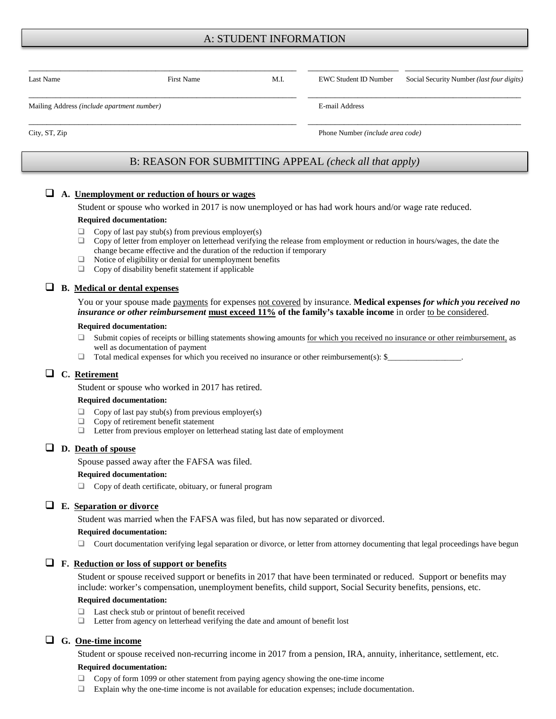## A: STUDENT INFORMATION

| Last Name                                  | <b>First Name</b>                                      | M.I. | <b>EWC Student ID Number</b>     | Social Security Number (last four digits) |  |
|--------------------------------------------|--------------------------------------------------------|------|----------------------------------|-------------------------------------------|--|
|                                            |                                                        |      |                                  |                                           |  |
| Mailing Address (include apartment number) |                                                        |      | E-mail Address                   |                                           |  |
| City, ST, Zip                              |                                                        |      | Phone Number (include area code) |                                           |  |
|                                            |                                                        |      |                                  |                                           |  |
|                                            | B: REASON FOR SUBMITTING APPEAL (check all that apply) |      |                                  |                                           |  |

### **A. Unemployment or reduction of hours or wages**

Student or spouse who worked in 2017 is now unemployed or has had work hours and/or wage rate reduced.

#### **Required documentation:**

- $\Box$  Copy of last pay stub(s) from previous employer(s)
- $\Box$  Copy of letter from employer on letterhead verifying the release from employment or reduction in hours/wages, the date the change became effective and the duration of the reduction if temporary
- $\Box$  Notice of eligibility or denial for unemployment benefits
- □ Copy of disability benefit statement if applicable

## **B. Medical or dental expenses**

You or your spouse made payments for expenses not covered by insurance. **Medical expenses** *for which you received no insurance or other reimbursement* **must exceed 11% of the family's taxable income** in order to be considered.

#### **Required documentation:**

- $\Box$  Submit copies of receipts or billing statements showing amounts for which you received no insurance or other reimbursement, as well as documentation of payment
- $\Box$  Total medical expenses for which you received no insurance or other reimbursement(s): \$

#### **C. Retirement**

Student or spouse who worked in 2017 has retired.

#### **Required documentation:**

- $\Box$  Copy of last pay stub(s) from previous employer(s)
- $\Box$  Copy of retirement benefit statement
- $\Box$  Letter from previous employer on letterhead stating last date of employment

## **D. Death of spouse**

Spouse passed away after the FAFSA was filed.

#### **Required documentation:**

 $\Box$  Copy of death certificate, obituary, or funeral program

#### **E. Separation or divorce**

Student was married when the FAFSA was filed, but has now separated or divorced.

#### **Required documentation:**

 $\Box$  Court documentation verifying legal separation or divorce, or letter from attorney documenting that legal proceedings have begun

#### **F. Reduction or loss of support or benefits**

Student or spouse received support or benefits in 2017 that have been terminated or reduced. Support or benefits may include: worker's compensation, unemployment benefits, child support, Social Security benefits, pensions, etc.

#### **Required documentation:**

- $\Box$  Last check stub or printout of benefit received
- $\Box$  Letter from agency on letterhead verifying the date and amount of benefit lost

## **G. One-time income**

Student or spouse received non-recurring income in 2017 from a pension, IRA, annuity, inheritance, settlement, etc.

#### **Required documentation:**

- Copy of form 1099 or other statement from paying agency showing the one-time income
- Explain why the one-time income is not available for education expenses; include documentation.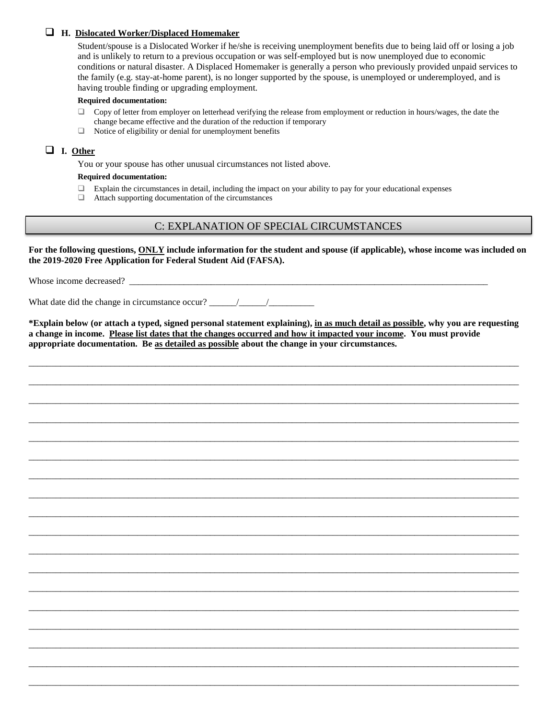## **H. Dislocated Worker/Displaced Homemaker**

Student/spouse is a Dislocated Worker if he/she is receiving unemployment benefits due to being laid off or losing a job and is unlikely to return to a previous occupation or was self-employed but is now unemployed due to economic conditions or natural disaster. A Displaced Homemaker is generally a person who previously provided unpaid services to the family (e.g. stay-at-home parent), is no longer supported by the spouse, is unemployed or underemployed, and is having trouble finding or upgrading employment.

#### **Required documentation:**

- $\Box$  Copy of letter from employer on letterhead verifying the release from employment or reduction in hours/wages, the date the change became effective and the duration of the reduction if temporary
- $\Box$  Notice of eligibility or denial for unemployment benefits

## **I. Other**

You or your spouse has other unusual circumstances not listed above.

#### **Required documentation:**

- $\Box$  Explain the circumstances in detail, including the impact on your ability to pay for your educational expenses
- Attach supporting documentation of the circumstances

# C: EXPLANATION OF SPECIAL CIRCUMSTANCES

**For the following questions, ONLY include information for the student and spouse (if applicable), whose income was included on the 2019-2020 Free Application for Federal Student Aid (FAFSA).**

Whose income decreased?

What date did the change in circumstance occur?

**\*Explain below (or attach a typed, signed personal statement explaining), in as much detail as possible, why you are requesting a change in income. Please list dates that the changes occurred and how it impacted your income. You must provide appropriate documentation. Be as detailed as possible about the change in your circumstances.** 

\_\_\_\_\_\_\_\_\_\_\_\_\_\_\_\_\_\_\_\_\_\_\_\_\_\_\_\_\_\_\_\_\_\_\_\_\_\_\_\_\_\_\_\_\_\_\_\_\_\_\_\_\_\_\_\_\_\_\_\_\_\_\_\_\_\_\_\_\_\_\_\_\_\_\_\_\_\_\_\_\_\_\_\_\_\_\_\_\_\_\_\_\_\_\_\_\_\_\_\_\_\_\_\_\_\_\_\_

\_\_\_\_\_\_\_\_\_\_\_\_\_\_\_\_\_\_\_\_\_\_\_\_\_\_\_\_\_\_\_\_\_\_\_\_\_\_\_\_\_\_\_\_\_\_\_\_\_\_\_\_\_\_\_\_\_\_\_\_\_\_\_\_\_\_\_\_\_\_\_\_\_\_\_\_\_\_\_\_\_\_\_\_\_\_\_\_\_\_\_\_\_\_\_\_\_\_\_\_\_\_\_\_\_\_\_\_

\_\_\_\_\_\_\_\_\_\_\_\_\_\_\_\_\_\_\_\_\_\_\_\_\_\_\_\_\_\_\_\_\_\_\_\_\_\_\_\_\_\_\_\_\_\_\_\_\_\_\_\_\_\_\_\_\_\_\_\_\_\_\_\_\_\_\_\_\_\_\_\_\_\_\_\_\_\_\_\_\_\_\_\_\_\_\_\_\_\_\_\_\_\_\_\_\_\_\_\_\_\_\_\_\_\_\_\_

\_\_\_\_\_\_\_\_\_\_\_\_\_\_\_\_\_\_\_\_\_\_\_\_\_\_\_\_\_\_\_\_\_\_\_\_\_\_\_\_\_\_\_\_\_\_\_\_\_\_\_\_\_\_\_\_\_\_\_\_\_\_\_\_\_\_\_\_\_\_\_\_\_\_\_\_\_\_\_\_\_\_\_\_\_\_\_\_\_\_\_\_\_\_\_\_\_\_\_\_\_\_\_\_\_\_\_\_

\_\_\_\_\_\_\_\_\_\_\_\_\_\_\_\_\_\_\_\_\_\_\_\_\_\_\_\_\_\_\_\_\_\_\_\_\_\_\_\_\_\_\_\_\_\_\_\_\_\_\_\_\_\_\_\_\_\_\_\_\_\_\_\_\_\_\_\_\_\_\_\_\_\_\_\_\_\_\_\_\_\_\_\_\_\_\_\_\_\_\_\_\_\_\_\_\_\_\_\_\_\_\_\_\_\_\_\_

\_\_\_\_\_\_\_\_\_\_\_\_\_\_\_\_\_\_\_\_\_\_\_\_\_\_\_\_\_\_\_\_\_\_\_\_\_\_\_\_\_\_\_\_\_\_\_\_\_\_\_\_\_\_\_\_\_\_\_\_\_\_\_\_\_\_\_\_\_\_\_\_\_\_\_\_\_\_\_\_\_\_\_\_\_\_\_\_\_\_\_\_\_\_\_\_\_\_\_\_\_\_\_\_\_\_\_\_

\_\_\_\_\_\_\_\_\_\_\_\_\_\_\_\_\_\_\_\_\_\_\_\_\_\_\_\_\_\_\_\_\_\_\_\_\_\_\_\_\_\_\_\_\_\_\_\_\_\_\_\_\_\_\_\_\_\_\_\_\_\_\_\_\_\_\_\_\_\_\_\_\_\_\_\_\_\_\_\_\_\_\_\_\_\_\_\_\_\_\_\_\_\_\_\_\_\_\_\_\_\_\_\_\_\_\_\_

\_\_\_\_\_\_\_\_\_\_\_\_\_\_\_\_\_\_\_\_\_\_\_\_\_\_\_\_\_\_\_\_\_\_\_\_\_\_\_\_\_\_\_\_\_\_\_\_\_\_\_\_\_\_\_\_\_\_\_\_\_\_\_\_\_\_\_\_\_\_\_\_\_\_\_\_\_\_\_\_\_\_\_\_\_\_\_\_\_\_\_\_\_\_\_\_\_\_\_\_\_\_\_\_\_\_\_\_

\_\_\_\_\_\_\_\_\_\_\_\_\_\_\_\_\_\_\_\_\_\_\_\_\_\_\_\_\_\_\_\_\_\_\_\_\_\_\_\_\_\_\_\_\_\_\_\_\_\_\_\_\_\_\_\_\_\_\_\_\_\_\_\_\_\_\_\_\_\_\_\_\_\_\_\_\_\_\_\_\_\_\_\_\_\_\_\_\_\_\_\_\_\_\_\_\_\_\_\_\_\_\_\_\_\_\_\_

\_\_\_\_\_\_\_\_\_\_\_\_\_\_\_\_\_\_\_\_\_\_\_\_\_\_\_\_\_\_\_\_\_\_\_\_\_\_\_\_\_\_\_\_\_\_\_\_\_\_\_\_\_\_\_\_\_\_\_\_\_\_\_\_\_\_\_\_\_\_\_\_\_\_\_\_\_\_\_\_\_\_\_\_\_\_\_\_\_\_\_\_\_\_\_\_\_\_\_\_\_\_\_\_\_\_\_\_

\_\_\_\_\_\_\_\_\_\_\_\_\_\_\_\_\_\_\_\_\_\_\_\_\_\_\_\_\_\_\_\_\_\_\_\_\_\_\_\_\_\_\_\_\_\_\_\_\_\_\_\_\_\_\_\_\_\_\_\_\_\_\_\_\_\_\_\_\_\_\_\_\_\_\_\_\_\_\_\_\_\_\_\_\_\_\_\_\_\_\_\_\_\_\_\_\_\_\_\_\_\_\_\_\_\_\_\_

\_\_\_\_\_\_\_\_\_\_\_\_\_\_\_\_\_\_\_\_\_\_\_\_\_\_\_\_\_\_\_\_\_\_\_\_\_\_\_\_\_\_\_\_\_\_\_\_\_\_\_\_\_\_\_\_\_\_\_\_\_\_\_\_\_\_\_\_\_\_\_\_\_\_\_\_\_\_\_\_\_\_\_\_\_\_\_\_\_\_\_\_\_\_\_\_\_\_\_\_\_\_\_\_\_\_\_\_

\_\_\_\_\_\_\_\_\_\_\_\_\_\_\_\_\_\_\_\_\_\_\_\_\_\_\_\_\_\_\_\_\_\_\_\_\_\_\_\_\_\_\_\_\_\_\_\_\_\_\_\_\_\_\_\_\_\_\_\_\_\_\_\_\_\_\_\_\_\_\_\_\_\_\_\_\_\_\_\_\_\_\_\_\_\_\_\_\_\_\_\_\_\_\_\_\_\_\_\_\_\_\_\_\_\_\_\_

\_\_\_\_\_\_\_\_\_\_\_\_\_\_\_\_\_\_\_\_\_\_\_\_\_\_\_\_\_\_\_\_\_\_\_\_\_\_\_\_\_\_\_\_\_\_\_\_\_\_\_\_\_\_\_\_\_\_\_\_\_\_\_\_\_\_\_\_\_\_\_\_\_\_\_\_\_\_\_\_\_\_\_\_\_\_\_\_\_\_\_\_\_\_\_\_\_\_\_\_\_\_\_\_\_\_\_\_

\_\_\_\_\_\_\_\_\_\_\_\_\_\_\_\_\_\_\_\_\_\_\_\_\_\_\_\_\_\_\_\_\_\_\_\_\_\_\_\_\_\_\_\_\_\_\_\_\_\_\_\_\_\_\_\_\_\_\_\_\_\_\_\_\_\_\_\_\_\_\_\_\_\_\_\_\_\_\_\_\_\_\_\_\_\_\_\_\_\_\_\_\_\_\_\_\_\_\_\_\_\_\_\_\_\_\_\_

\_\_\_\_\_\_\_\_\_\_\_\_\_\_\_\_\_\_\_\_\_\_\_\_\_\_\_\_\_\_\_\_\_\_\_\_\_\_\_\_\_\_\_\_\_\_\_\_\_\_\_\_\_\_\_\_\_\_\_\_\_\_\_\_\_\_\_\_\_\_\_\_\_\_\_\_\_\_\_\_\_\_\_\_\_\_\_\_\_\_\_\_\_\_\_\_\_\_\_\_\_\_\_\_\_\_\_\_

\_\_\_\_\_\_\_\_\_\_\_\_\_\_\_\_\_\_\_\_\_\_\_\_\_\_\_\_\_\_\_\_\_\_\_\_\_\_\_\_\_\_\_\_\_\_\_\_\_\_\_\_\_\_\_\_\_\_\_\_\_\_\_\_\_\_\_\_\_\_\_\_\_\_\_\_\_\_\_\_\_\_\_\_\_\_\_\_\_\_\_\_\_\_\_\_\_\_\_\_\_\_\_\_\_\_\_\_

\_\_\_\_\_\_\_\_\_\_\_\_\_\_\_\_\_\_\_\_\_\_\_\_\_\_\_\_\_\_\_\_\_\_\_\_\_\_\_\_\_\_\_\_\_\_\_\_\_\_\_\_\_\_\_\_\_\_\_\_\_\_\_\_\_\_\_\_\_\_\_\_\_\_\_\_\_\_\_\_\_\_\_\_\_\_\_\_\_\_\_\_\_\_\_\_\_\_\_\_\_\_\_\_\_\_\_\_